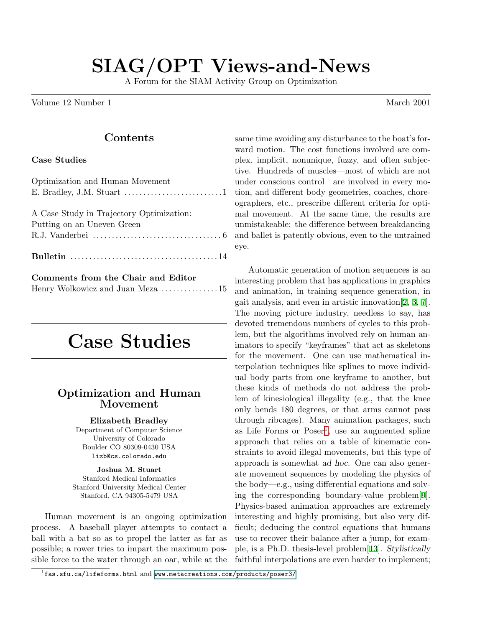# SIAG/OPT Views-and-News

A Forum for the SIAM Activity Group on Optimization

Volume 12 Number 1 March 2001

#### Contents

#### Case Studies

| Optimization and Human Movement                                                    |
|------------------------------------------------------------------------------------|
|                                                                                    |
|                                                                                    |
| A Case Study in Trajectory Optimization:                                           |
| Putting on an Uneven Green                                                         |
| R.J. Vanderbei $\dots\dots\dots\dots\dots\dots\dots\dots\dots\dots\dots\dots\dots$ |
|                                                                                    |
|                                                                                    |
|                                                                                    |

| Comments from the Chair and Editor |  |
|------------------------------------|--|
| Henry Wolkowicz and Juan Meza 15   |  |

# Case Studies

## Optimization and Human Movement

Elizabeth Bradley

Department of Computer Science University of Colorado Boulder CO 80309-0430 USA lizb@cs.colorado.edu

Joshua M. Stuart Stanford Medical Informatics Stanford University Medical Center Stanford, CA 94305-5479 USA

Human movement is an ongoing optimization process. A baseball player attempts to contact a ball with a bat so as to propel the latter as far as possible; a rower tries to impart the maximum possible force to the water through an oar, while at the same time avoiding any disturbance to the boat's forward motion. The cost functions involved are complex, implicit, nonunique, fuzzy, and often subjective. Hundreds of muscles—most of which are not under conscious control—are involved in every motion, and different body geometries, coaches, choreographers, etc., prescribe different criteria for optimal movement. At the same time, the results are unmistakeable: the difference between breakdancing and ballet is patently obvious, even to the untrained eye.

Automatic generation of motion sequences is an interesting problem that has applications in graphics and animation, in training sequence generation, in gait analysis, and even in artistic innovation[[2](#page-5-0), [3,](#page-5-1) [7\]](#page-5-2). The moving picture industry, needless to say, has devoted tremendous numbers of cycles to this problem, but the algorithms involved rely on human animators to specify "keyframes" that act as skeletons for the movement. One can use mathematical interpolation techniques like splines to move individual body parts from one keyframe to another, but these kinds of methods do not address the problem of kinesiological illegality (e.g., that the knee only bends 180 degrees, or that arms cannot pass through ribcages). Many animation packages, such as Life Forms or  $Poser<sup>1</sup>$  $Poser<sup>1</sup>$  $Poser<sup>1</sup>$ , use an augmented spline approach that relies on a table of kinematic constraints to avoid illegal movements, but this type of approach is somewhat ad hoc. One can also generate movement sequences by modeling the physics of the body—e.g., using differential equations and solving the corresponding boundary-value problem[\[9\]](#page-5-3). Physics-based animation approaches are extremely interesting and highly promising, but also very difficult; deducing the control equations that humans use to recover their balance after a jump, for example, is a Ph.D. thesis-level problem[\[13](#page-5-4)]. Stylistically faithful interpolations are even harder to implement;

<span id="page-0-0"></span> $^1$ fas.sfu.ca/lifeforms.html and www.metacreations.com/products/poser3/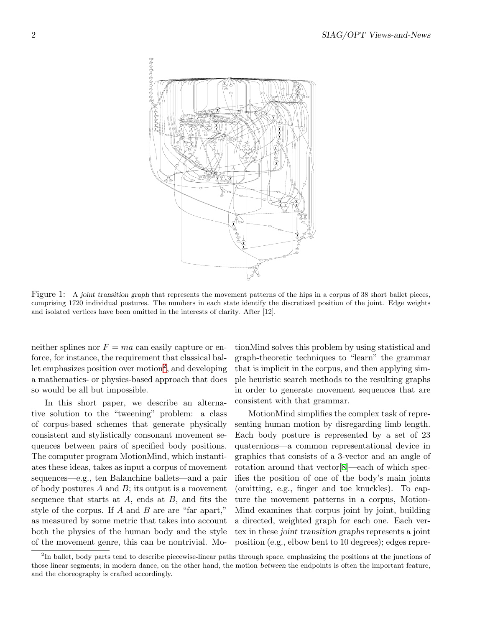

Figure 1: A joint transition graph that represents the movement patterns of the hips in a corpus of 38 short ballet pieces, comprising 1720 individual postures. The numbers in each state identify the discretized position of the joint. Edge weights and isolated vertices have been omitted in the interests of clarity. After [12].

neither splines nor  $F = ma$  can easily capture or enforce, for instance, the requirement that classical bal-let emphasizes position over motion<sup>[2](#page-1-0)</sup>, and developing a mathematics- or physics-based approach that does so would be all but impossible.

In this short paper, we describe an alternative solution to the "tweening" problem: a class of corpus-based schemes that generate physically consistent and stylistically consonant movement sequences between pairs of specified body positions. The computer program MotionMind, which instantiates these ideas, takes as input a corpus of movement sequences—e.g., ten Balanchine ballets—and a pair of body postures  $A$  and  $B$ ; its output is a movement sequence that starts at  $A$ , ends at  $B$ , and fits the style of the corpus. If  $A$  and  $B$  are are "far apart," as measured by some metric that takes into account both the physics of the human body and the style of the movement genre, this can be nontrivial. Mo-

tionMind solves this problem by using statistical and graph-theoretic techniques to "learn" the grammar that is implicit in the corpus, and then applying simple heuristic search methods to the resulting graphs in order to generate movement sequences that are consistent with that grammar.

MotionMind simplifies the complex task of representing human motion by disregarding limb length. Each body posture is represented by a set of 23 quaternions—a common representational device in graphics that consists of a 3-vector and an angle of rotation around that vector[[8](#page-5-5)]—each of which specifies the position of one of the body's main joints (omitting, e.g., finger and toe knuckles). To capture the movement patterns in a corpus, Motion-Mind examines that corpus joint by joint, building a directed, weighted graph for each one. Each vertex in these joint transition graphs represents a joint position (e.g., elbow bent to 10 degrees); edges repre-

<span id="page-1-0"></span><sup>&</sup>lt;sup>2</sup>In ballet, body parts tend to describe piecewise-linear paths through space, emphasizing the positions at the junctions of those linear segments; in modern dance, on the other hand, the motion between the endpoints is often the important feature, and the choreography is crafted accordingly.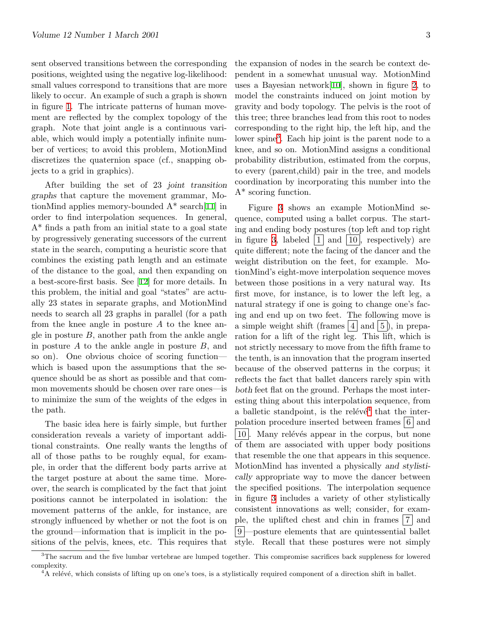sent observed transitions between the corresponding positions, weighted using the negative log-likelihood: small values correspond to transitions that are more likely to occur. An example of such a graph is shown in figure [1](#page-8-0). The intricate patterns of human movement are reflected by the complex topology of the graph. Note that joint angle is a continuous variable, which would imply a potentially infinite number of vertices; to avoid this problem, MotionMind discretizes the quaternion space (cf., snapping objects to a grid in graphics).

After building the set of 23 joint transition graphs that capture the movement grammar, MotionMind applies memory-bounded A\* search[[11\]](#page-5-6) in order to find interpolation sequences. In general, A\* finds a path from an initial state to a goal state by progressively generating successors of the current state in the search, computing a heuristic score that combines the existing path length and an estimate of the distance to the goal, and then expanding on a best-score-first basis. See[[12\]](#page-5-7) for more details. In this problem, the initial and goal "states" are actually 23 states in separate graphs, and MotionMind needs to search all 23 graphs in parallel (for a path from the knee angle in posture  $A$  to the knee angle in posture  $B$ , another path from the ankle angle in posture  $A$  to the ankle angle in posture  $B$ , and so on). One obvious choice of scoring function which is based upon the assumptions that the sequence should be as short as possible and that common movements should be chosen over rare ones—is to minimize the sum of the weights of the edges in the path.

The basic idea here is fairly simple, but further consideration reveals a variety of important additional constraints. One really wants the lengths of all of those paths to be roughly equal, for example, in order that the different body parts arrive at the target posture at about the same time. Moreover, the search is complicated by the fact that joint positions cannot be interpolated in isolation: the movement patterns of the ankle, for instance, are strongly influenced by whether or not the foot is on the ground—information that is implicit in the positions of the pelvis, knees, etc. This requires that the expansion of nodes in the search be context dependent in a somewhat unusual way. MotionMind uses a Bayesian network[[10\]](#page-5-8), shown in figure [2,](#page-9-0) to model the constraints induced on joint motion by gravity and body topology. The pelvis is the root of this tree; three branches lead from this root to nodes corresponding to the right hip, the left hip, and the lower spine<sup>[3](#page-2-0)</sup>. Each hip joint is the parent node to a knee, and so on. MotionMind assigns a conditional probability distribution, estimated from the corpus, to every (parent,child) pair in the tree, and models coordination by incorporating this number into the A\* scoring function.

Figure [3](#page-10-0) shows an example MotionMind sequence, computed using a ballet corpus. The starting and ending body postures (top left and top right in figure [3,](#page-10-0) labeled  $|1|$  and  $|10|$ , respectively) are quite different; note the facing of the dancer and the weight distribution on the feet, for example. MotionMind's eight-move interpolation sequence moves between those positions in a very natural way. Its first move, for instance, is to lower the left leg, a natural strategy if one is going to change one's facing and end up on two feet. The following move is a simple weight shift (frames  $|4|$  and  $|5|$ ), in preparation for a lift of the right leg. This lift, which is not strictly necessary to move from the fifth frame to the tenth, is an innovation that the program inserted because of the observed patterns in the corpus; it reflects the fact that ballet dancers rarely spin with both feet flat on the ground. Perhaps the most interesting thing about this interpolation sequence, from a balletic standpoint, is the relévé<sup>[4](#page-2-1)</sup> that the interpolation procedure inserted between frames  $6 \mid$  and 10. Many relévés appear in the corpus, but none of them are associated with upper body positions that resemble the one that appears in this sequence. MotionMind has invented a physically and stylistically appropriate way to move the dancer between the specified positions. The interpolation sequence in figure [3](#page-10-0) includes a variety of other stylistically consistent innovations as well; consider, for example, the uplifted chest and chin in frames  $|7|$  and 9 —posture elements that are quintessential ballet style. Recall that these postures were not simply

 $3$ The sacrum and the five lumbar vertebrae are lumped together. This compromise sacrifices back suppleness for lowered complexity.

<span id="page-2-1"></span><span id="page-2-0"></span><sup>&</sup>lt;sup>4</sup>A relévé, which consists of lifting up on one's toes, is a stylistically required component of a direction shift in ballet.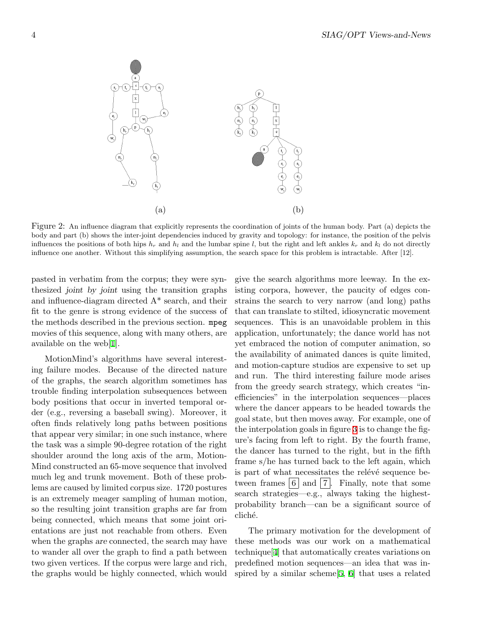

Figure 2: An influence diagram that explicitly represents the coordination of joints of the human body. Part (a) depicts the body and part (b) shows the inter-joint dependencies induced by gravity and topology: for instance, the position of the pelvis influences the positions of both hips  $h_r$  and  $h_l$  and the lumbar spine l, but the right and left ankles  $k_r$  and  $k_l$  do not directly influence one another. Without this simplifying assumption, the search space for this problem is intractable. After [12].

pasted in verbatim from the corpus; they were synthesized joint by joint using the transition graphs and influence-diagram directed A\* search, and their fit to the genre is strong evidence of the success of the methods described in the previous section. mpeg movies of this sequence, along with many others, are available on the web[[1](#page-5-9)].

MotionMind's algorithms have several interesting failure modes. Because of the directed nature of the graphs, the search algorithm sometimes has trouble finding interpolation subsequences between body positions that occur in inverted temporal order (e.g., reversing a baseball swing). Moreover, it often finds relatively long paths between positions that appear very similar; in one such instance, where the task was a simple 90-degree rotation of the right shoulder around the long axis of the arm, Motion-Mind constructed an 65-move sequence that involved much leg and trunk movement. Both of these problems are caused by limited corpus size. 1720 postures is an extremely meager sampling of human motion, so the resulting joint transition graphs are far from being connected, which means that some joint orientations are just not reachable from others. Even when the graphs are connected, the search may have to wander all over the graph to find a path between two given vertices. If the corpus were large and rich, the graphs would be highly connected, which would

give the search algorithms more leeway. In the existing corpora, however, the paucity of edges constrains the search to very narrow (and long) paths that can translate to stilted, idiosyncratic movement sequences. This is an unavoidable problem in this application, unfortunately; the dance world has not yet embraced the notion of computer animation, so the availability of animated dances is quite limited, and motion-capture studios are expensive to set up and run. The third interesting failure mode arises from the greedy search strategy, which creates "inefficiencies" in the interpolation sequences—places where the dancer appears to be headed towards the goal state, but then moves away. For example, one of the interpolation goals in figure [3](#page-10-0) is to change the figure's facing from left to right. By the fourth frame, the dancer has turned to the right, but in the fifth frame s/he has turned back to the left again, which is part of what necessitates the relévé sequence between frames  $|6|$  and  $|7|$ . Finally, note that some search strategies—e.g., always taking the highestprobability branch—can be a significant source of cliché.

The primary motivation for the development of these methods was our work on a mathematical technique[\[4\]](#page-5-10) that automatically creates variations on predefined motion sequences—an idea that was inspired by a similar scheme[[5](#page-5-11), [6](#page-5-12)] that uses a related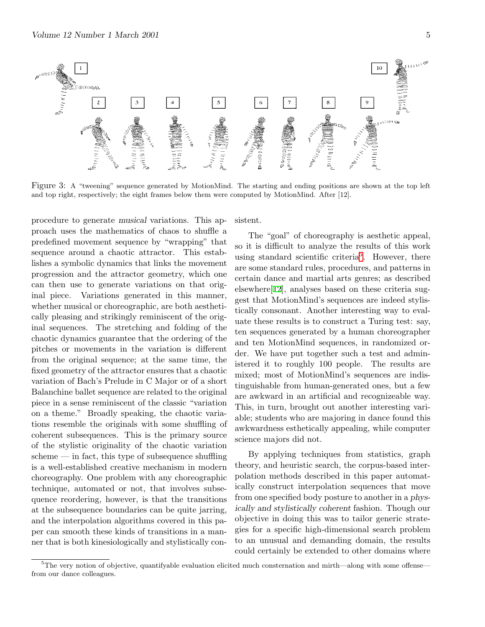

Figure 3: A "tweening" sequence generated by MotionMind. The starting and ending positions are shown at the top left and top right, respectively; the eight frames below them were computed by MotionMind. After [12].

procedure to generate musical variations. This approach uses the mathematics of chaos to shuffle a predefined movement sequence by "wrapping" that sequence around a chaotic attractor. This establishes a symbolic dynamics that links the movement progression and the attractor geometry, which one can then use to generate variations on that original piece. Variations generated in this manner, whether musical or choreographic, are both aesthetically pleasing and strikingly reminiscent of the original sequences. The stretching and folding of the chaotic dynamics guarantee that the ordering of the pitches or movements in the variation is different from the original sequence; at the same time, the fixed geometry of the attractor ensures that a chaotic variation of Bach's Prelude in C Major or of a short Balanchine ballet sequence are related to the original piece in a sense reminiscent of the classic "variation on a theme." Broadly speaking, the chaotic variations resemble the originals with some shuffling of coherent subsequences. This is the primary source of the stylistic originality of the chaotic variation  $scheme \text{---}$  in fact, this type of subsequence shuffling is a well-established creative mechanism in modern choreography. One problem with any choreographic technique, automated or not, that involves subsequence reordering, however, is that the transitions at the subsequence boundaries can be quite jarring, and the interpolation algorithms covered in this paper can smooth these kinds of transitions in a manner that is both kinesiologically and stylistically consistent.

The "goal" of choreography is aesthetic appeal, so it is difficult to analyze the results of this work using standard scientific criteria<sup>[5](#page-4-0)</sup>. However, there are some standard rules, procedures, and patterns in certain dance and martial arts genres; as described elsewhere[[12](#page-5-7)], analyses based on these criteria suggest that MotionMind's sequences are indeed stylistically consonant. Another interesting way to evaluate these results is to construct a Turing test: say, ten sequences generated by a human choreographer and ten MotionMind sequences, in randomized order. We have put together such a test and administered it to roughly 100 people. The results are mixed; most of MotionMind's sequences are indistinguishable from human-generated ones, but a few are awkward in an artificial and recognizeable way. This, in turn, brought out another interesting variable; students who are majoring in dance found this awkwardness esthetically appealing, while computer science majors did not.

By applying techniques from statistics, graph theory, and heuristic search, the corpus-based interpolation methods described in this paper automatically construct interpolation sequences that move from one specified body posture to another in a physically and stylistically coherent fashion. Though our objective in doing this was to tailor generic strategies for a specific high-dimensional search problem to an unusual and demanding domain, the results could certainly be extended to other domains where

<span id="page-4-0"></span><sup>&</sup>lt;sup>5</sup>The very notion of objective, quantifyable evaluation elicited much consternation and mirth—along with some offense from our dance colleagues.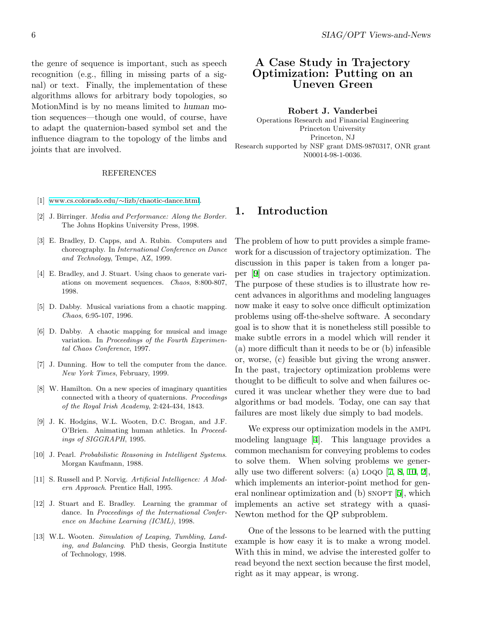the genre of sequence is important, such as speech recognition (e.g., filling in missing parts of a signal) or text. Finally, the implementation of these algorithms allows for arbitrary body topologies, so MotionMind is by no means limited to human motion sequences—though one would, of course, have to adapt the quaternion-based symbol set and the influence diagram to the topology of the limbs and joints that are involved.

#### REFERENCES

- <span id="page-5-9"></span>[1] www.cs.colorado.edu/∼[lizb/chaotic-dance.html](http://www.cs.colorado.edu/~lizb/chaotic-dance.html).
- <span id="page-5-0"></span>[2] J. Birringer. Media and Performance: Along the Border. The Johns Hopkins University Press, 1998.
- <span id="page-5-1"></span>[3] E. Bradley, D. Capps, and A. Rubin. Computers and choreography. In International Conference on Dance and Technology, Tempe, AZ, 1999.
- <span id="page-5-10"></span>[4] E. Bradley, and J. Stuart. Using chaos to generate variations on movement sequences. Chaos, 8:800-807, 1998.
- <span id="page-5-11"></span>[5] D. Dabby. Musical variations from a chaotic mapping. Chaos, 6:95-107, 1996.
- <span id="page-5-12"></span>[6] D. Dabby. A chaotic mapping for musical and image variation. In Proceedings of the Fourth Experimental Chaos Conference, 1997.
- <span id="page-5-2"></span>[7] J. Dunning. How to tell the computer from the dance. New York Times, February, 1999.
- <span id="page-5-5"></span>[8] W. Hamilton. On a new species of imaginary quantities connected with a theory of quaternions. Proceedings of the Royal Irish Academy, 2:424-434, 1843.
- <span id="page-5-3"></span>[9] J. K. Hodgins, W.L. Wooten, D.C. Brogan, and J.F. O'Brien. Animating human athletics. In Proceedings of SIGGRAPH, 1995.
- <span id="page-5-8"></span>[10] J. Pearl. Probabilistic Reasoning in Intelligent Systems. Morgan Kaufmann, 1988.
- <span id="page-5-6"></span>[11] S. Russell and P. Norvig. Artificial Intelligence: A Modern Approach. Prentice Hall, 1995.
- <span id="page-5-7"></span>[12] J. Stuart and E. Bradley. Learning the grammar of dance. In Proceedings of the International Conference on Machine Learning (ICML), 1998.
- <span id="page-5-4"></span>[13] W.L. Wooten. Simulation of Leaping, Tumbling, Landing, and Balancing. PhD thesis, Georgia Institute of Technology, 1998.

#### A Case Study in Trajectory Optimization: Putting on an Uneven Green

#### Robert J. Vanderbei

Operations Research and Financial Engineering Princeton University Princeton, NJ Research supported by NSF grant DMS-9870317, ONR grant N00014-98-1-0036.

#### 1. Introduction

The problem of how to putt provides a simple framework for a discussion of trajectory optimization. The discussion in this paper is taken from a longer paper [\[9\]](#page-13-0) on case studies in trajectory optimization. The purpose of these studies is to illustrate how recent advances in algorithms and modeling languages now make it easy to solve once difficult optimization problems using off-the-shelve software. A secondary goal is to show that it is nonetheless still possible to make subtle errors in a model which will render it (a) more difficult than it needs to be or (b) infeasible or, worse, (c) feasible but giving the wrong answer. In the past, trajectory optimization problems were thought to be difficult to solve and when failures occured it was unclear whether they were due to bad algorithms or bad models. Today, one can say that failures are most likely due simply to bad models.

We express our optimization models in the AMPL modeling language [\[4\]](#page-13-1). This language provides a common mechanism for conveying problems to codes to solve them. When solving problems we generally use two different solvers: (a)  $LOQO$  [\[7,](#page-13-2) [8,](#page-13-3) [10](#page-13-4), [2\]](#page-13-5), which implements an interior-point method for gen-eral nonlinear optimization and (b) SNOPT [[5\]](#page-13-6), which implements an active set strategy with a quasi-Newton method for the QP subproblem.

One of the lessons to be learned with the putting example is how easy it is to make a wrong model. With this in mind, we advise the interested golfer to read beyond the next section because the first model, right as it may appear, is wrong.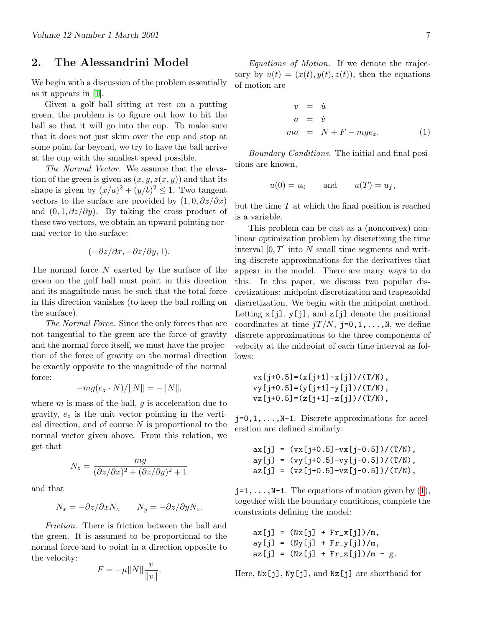#### 2. The Alessandrini Model

We begin with a discussion of the problem essentially as it appears in [\[1\]](#page-13-7).

Given a golf ball sitting at rest on a putting green, the problem is to figure out how to hit the ball so that it will go into the cup. To make sure that it does not just skim over the cup and stop at some point far beyond, we try to have the ball arrive at the cup with the smallest speed possible.

The Normal Vector. We assume that the elevation of the green is given as  $(x, y, z(x, y))$  and that its shape is given by  $(x/a)^2 + (y/b)^2 \leq 1$ . Two tangent vectors to the surface are provided by  $(1, 0, \partial z/\partial x)$ and  $(0, 1, \partial z/\partial y)$ . By taking the cross product of these two vectors, we obtain an upward pointing normal vector to the surface:

$$
(-\partial z/\partial x, -\partial z/\partial y, 1).
$$

The normal force  $N$  exerted by the surface of the green on the golf ball must point in this direction and its magnitude must be such that the total force in this direction vanishes (to keep the ball rolling on the surface).

The Normal Force. Since the only forces that are not tangential to the green are the force of gravity and the normal force itself, we must have the projection of the force of gravity on the normal direction be exactly opposite to the magnitude of the normal force:

$$
-mg(e_z \cdot N)/||N|| = -||N||,
$$

where  $m$  is mass of the ball,  $g$  is acceleration due to gravity,  $e_z$  is the unit vector pointing in the vertical direction, and of course  $N$  is proportional to the normal vector given above. From this relation, we get that

$$
N_z = \frac{mg}{(\partial z/\partial x)^2 + (\partial z/\partial y)^2 + 1}
$$

and that

$$
N_x = -\partial z/\partial x N_z \qquad N_y = -\partial z/\partial y N_z.
$$

Friction. There is friction between the ball and the green. It is assumed to be proportional to the normal force and to point in a direction opposite to the velocity:

$$
F = -\mu ||N|| \frac{v}{||v||}.
$$

Equations of Motion. If we denote the trajectory by  $u(t) = (x(t), y(t), z(t))$ , then the equations of motion are

<span id="page-6-0"></span>
$$
v = \dot{u}
$$
  
\n
$$
a = \dot{v}
$$
  
\n
$$
ma = N + F - mge_z.
$$
 (1)

Boundary Conditions. The initial and final positions are known,

$$
u(0) = u_0 \quad \text{and} \quad u(T) = u_f,
$$

but the time  $T$  at which the final position is reached is a variable.

This problem can be cast as a (nonconvex) nonlinear optimization problem by discretizing the time interval  $[0, T]$  into N small time segments and writing discrete approximations for the derivatives that appear in the model. There are many ways to do this. In this paper, we discuss two popular discretizations: midpoint discretization and trapezoidal discretization. We begin with the midpoint method. Letting  $x[j], y[j],$  and  $z[j]$  denote the positional coordinates at time  $jT/N$ , j=0,1,...,N, we define discrete approximations to the three components of velocity at the midpoint of each time interval as follows:

vx[j+0.5]=(x[j+1]-x[j])/(T/N), vy[j+0.5]=(y[j+1]-y[j])/(T/N), vz[j+0.5]=(z[j+1]-z[j])/(T/N),

 $j=0,1,\ldots,N-1$ . Discrete approximations for acceleration are defined similarly:

$$
ax[j] = (vx[j+0.5]-vx[j-0.5])/(T/N),ay[j] = (vy[j+0.5]-vy[j-0.5])/(T/N),az[j] = (vz[j+0.5]-vz[j-0.5])/(T/N),
$$

 $j=1,\ldots,N-1$  $j=1,\ldots,N-1$  $j=1,\ldots,N-1$ .The equations of motion given by  $(1)$ , together with the boundary conditions, complete the constraints defining the model:

$$
ax[j] = (Nx[j] + Fr_x[j])/m,
$$
  
\n $ay[j] = (Ny[j] + Fr_y[j])/m,$   
\n $az[j] = (Nz[j] + Fr_z[j])/m - g.$ 

Here, Nx[j], Ny[j], and Nz[j] are shorthand for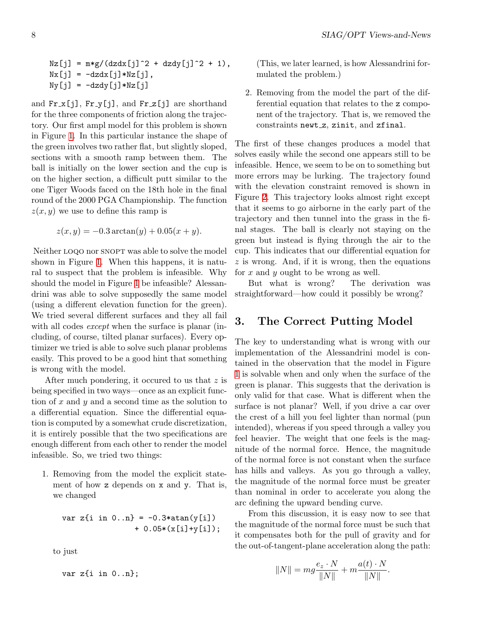```
Nz[j] = m * g / (dz dx[j]^2 + dz dy[j]^2 + 1),Nx[j] = -dzdx[j]*Nz[j],Ny[j] = -dzdy[j]*Nz[j]
```
and  $\text{Fr}_x[j]$ ,  $\text{Fr}_y[j]$ , and  $\text{Fr}_z[j]$  are shorthand for the three components of friction along the trajectory. Our first ampl model for this problem is shown in Figure [1](#page-8-0). In this particular instance the shape of the green involves two rather flat, but slightly sloped, sections with a smooth ramp between them. The ball is initially on the lower section and the cup is on the higher section, a difficult putt similar to the one Tiger Woods faced on the 18th hole in the final round of the 2000 PGA Championship. The function  $z(x, y)$  we use to define this ramp is

$$
z(x, y) = -0.3 \arctan(y) + 0.05(x + y).
$$

Neither LOQO nor SNOPT was able to solve the model shown in Figure [1](#page-8-0). When this happens, it is natural to suspect that the problem is infeasible. Why should the model in Figure [1](#page-8-0) be infeasible? Alessandrini was able to solve supposedly the same model (using a different elevation function for the green). We tried several different surfaces and they all fail with all codes *except* when the surface is planar (including, of course, tilted planar surfaces). Every optimizer we tried is able to solve such planar problems easily. This proved to be a good hint that something is wrong with the model.

After much pondering, it occured to us that z is being specified in two ways—once as an explicit function of x and y and a second time as the solution to a differential equation. Since the differential equation is computed by a somewhat crude discretization, it is entirely possible that the two specifications are enough different from each other to render the model infeasible. So, we tried two things:

1. Removing from the model the explicit statement of how z depends on x and y. That is, we changed

> var z{i in  $0..n$ } = -0.3\*atan(y[i])  $+ 0.05*(x[i]+y[i]);$

to just

var z{i in 0..n};

(This, we later learned, is how Alessandrini formulated the problem.)

2. Removing from the model the part of the differential equation that relates to the z component of the trajectory. That is, we removed the constraints newt\_z, zinit, and zfinal.

The first of these changes produces a model that solves easily while the second one appears still to be infeasible. Hence, we seem to be on to something but more errors may be lurking. The trajectory found with the elevation constraint removed is shown in Figure [2.](#page-9-0) This trajectory looks almost right except that it seems to go airborne in the early part of the trajectory and then tunnel into the grass in the final stages. The ball is clearly not staying on the green but instead is flying through the air to the cup. This indicates that our differential equation for  $z$  is wrong. And, if it is wrong, then the equations for x and y ought to be wrong as well.

But what is wrong? The derivation was straightforward—how could it possibly be wrong?

### 3. The Correct Putting Model

The key to understanding what is wrong with our implementation of the Alessandrini model is contained in the observation that the model in Figure [1](#page-8-0) is solvable when and only when the surface of the green is planar. This suggests that the derivation is only valid for that case. What is different when the surface is not planar? Well, if you drive a car over the crest of a hill you feel lighter than normal (pun intended), whereas if you speed through a valley you feel heavier. The weight that one feels is the magnitude of the normal force. Hence, the magnitude of the normal force is not constant when the surface has hills and valleys. As you go through a valley, the magnitude of the normal force must be greater than nominal in order to accelerate you along the arc defining the upward bending curve.

From this discussion, it is easy now to see that the magnitude of the normal force must be such that it compensates both for the pull of gravity and for the out-of-tangent-plane acceleration along the path:

$$
||N|| = mg \frac{e_z \cdot N}{||N||} + m \frac{a(t) \cdot N}{||N||}.
$$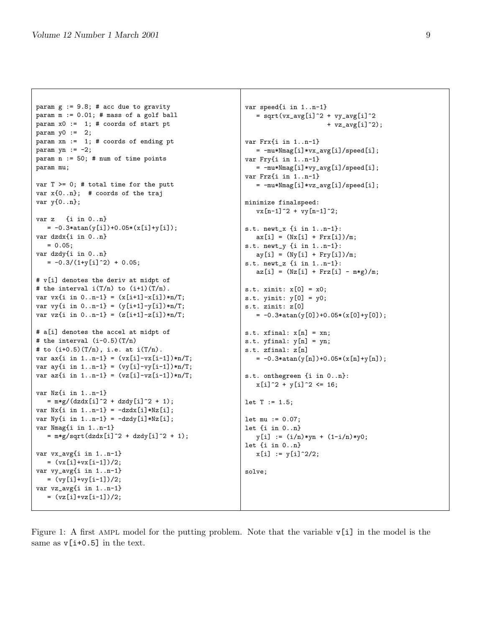```
param g := 9.8; # acc due to gravity
param m := 0.01; # mass of a golf ball
param x0 := 1; # coords of start pt
param y0 := 2;
param xn := 1; # coords of ending pt
param yn := -2;
param n := 50; # num of time points
param mu;
var T >= 0; # total time for the putt
var x{0..n}; # coords of the traj
var y{0..n};
var z {i in 0..n}
  = -0.3*atan(y[i])+0.05*(x[i]+y[i]);
var dzdx{i in 0..n}
   = 0.05;var dzdy{i in 0..n}
  = -0.3/(1+y[i]^{2}) + 0.05;# v[i] denotes the deriv at midpt of
# the interval i(T/n) to (i+1)(T/n).
var vx{i in 0..n-1} = (x[i+1]-x[i]) * n/T;var vy\{i \text{ in } 0..n-1\} = (y[i+1]-y[i]) * n/T;var vz\{i \text{ in } 0..n-1\} = (z[i+1]-z[i]) * n/T;# a[i] denotes the accel at midpt of
# the interval (i-0.5)(T/n)
# to (i+0.5)(T/n), i.e. at i(T/n).
var ax{i in 1..n-1} = (vx[i]-vx[i-1]) * n/T;var ay\{ i \text{ in } 1..n-1 \} = (vy[i]-vy[i-1]) * n/T;var az{i \text{ in } 1..n-1} = (vz[i]-vz[i-1]) * n/T;var Nz{i in 1..n-1}
   = m*g/ (dzdx[i]^2 + dzdy[i]^2 + 1);var Nx{i} in 1..n-1} = -dzdx[i]*Nz[i];var Ny\{i in 1..n-1\} = -dzdy[i]*Nz[i];var Nmag{i in 1..n-1}
   = m*g/sqrt(dzdx[i]^2 + dzdy[i]^2 + 1);var vx_avg{i in 1..n-1}
  = (vx[i]+vx[i-1])/2;var vy_avg{i in 1..n-1}
  = (vy[i]+vy[i-1])/2;
var vz_avg{i in 1..n-1}
   = (vz[i]+vz[i-1])/2;
```
var speed{i in 1..n-1}  $=$  sqrt(vx\_avg[i]^2 + vy\_avg[i]^2 +  $vz_avg[i]$  ^2); var Frx{i in 1..n-1} = -mu\*Nmag[i]\*vx\_avg[i]/speed[i]; var Fry{i in 1..n-1} = -mu\*Nmag[i]\*vy\_avg[i]/speed[i]; var Frz{i in 1..n-1}  $= -mu*Nmag[i]*vz_avg[i]/speed[i];$ minimize finalspeed:  $vx[n-1]$   $2 + vy[n-1]$   $2$ ; s.t. newt\_x {i in 1..n-1}:  $ax[i] = (Nx[i] + Frx[i])/m;$ s.t. newt\_y {i in 1..n-1}:  $ay[i] = (Ny[i] + Fry[i])/m;$ s.t. newt\_z {i in 1..n-1}:  $az[i] = (Nz[i] + Frz[i] - m*g)/m;$ s.t.  $xinit: x[0] = x0;$ s.t. yinit: y[0] = y0; s.t. zinit: z[0]  $= -0.3*atan(y[0])+0.05*(x[0]+y[0]);$ s.t.  $xfinal: x[n] = xn;$ s.t.  $yfinal: y[n] = yn;$ s.t. zfinal: z[n]  $= -0.3*atan(y[n]) +0.05*(x[n]+y[n]);$ s.t. onthegreen {i in 0..n}:  $x[i]$   $2 + y[i]$   $2 \leq 16$ ;  $let T := 1.5;$  $let mu := 0.07;$ let {i in 0..n}  $y[i] := (i/n) * yn + (1-i/n) * y0;$ let {i in 0..n}  $x[i] := y[i]^2/2;$ solve;

<span id="page-8-0"></span>Figure 1: A first ampl model for the putting problem. Note that the variable v[i] in the model is the same as  $v[i+0.5]$  in the text.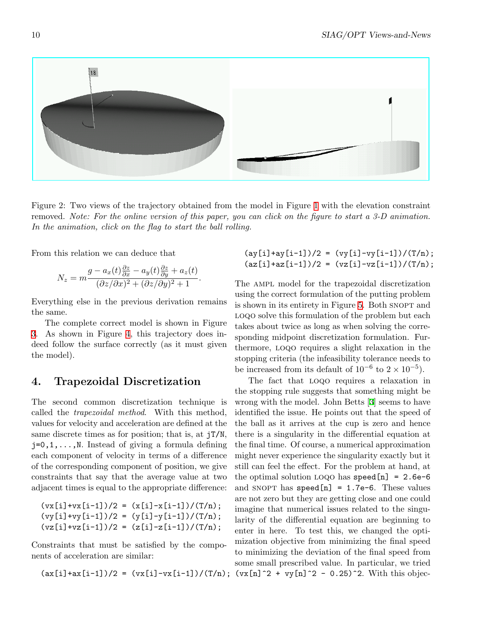

Figure 2: Two views of the trajectory obtained from the model in Figure [1](#page-8-0) with the elevation constraint removed. Note: For the online version of this paper, you can click on the figure to start a 3-D animation. In the animation, click on the flag to start the ball rolling.

<span id="page-9-0"></span>From this relation we can deduce that

$$
N_z = m \frac{g - a_x(t) \frac{\partial z}{\partial x} - a_y(t) \frac{\partial z}{\partial y} + a_z(t)}{(\partial z/\partial x)^2 + (\partial z/\partial y)^2 + 1}.
$$

Everything else in the previous derivation remains the same.

The complete correct model is shown in Figure [3](#page-10-0). As shown in Figure [4](#page-11-0), this trajectory does indeed follow the surface correctly (as it must given the model).

#### 4. Trapezoidal Discretization

The second common discretization technique is called the trapezoidal method. With this method, values for velocity and acceleration are defined at the same discrete times as for position; that is, at jT/N,  $j=0,1,\ldots,N$ . Instead of giving a formula defining each component of velocity in terms of a difference of the corresponding component of position, we give constraints that say that the average value at two adjacent times is equal to the appropriate difference:

$$
(vx[i]+vx[i-1])/2 = (x[i]-x[i-1])/(T/n);
$$
  
\n $(vy[i]+vy[i-1])/2 = (y[i]-y[i-1])/(T/n);$   
\n $(vz[i]+vz[i-1])/2 = (z[i]-z[i-1])/(T/n);$ 

Constraints that must be satisfied by the components of acceleration are similar:

 $\frac{\text{ay}[i] + \text{ay}[i-1]}{2} = \frac{\text{by}[i] - \text{vy}[i-1]}{T/n};$  $(az[i]+az[i-1])/2 = (vz[i]-vz[i-1])/(T/n);$ 

The AMPL model for the trapezoidal discretization using the correct formulation of the putting problem is shown in its entirety in Figure [5.](#page-12-0) Both SNOPT and LOQO solve this formulation of the problem but each takes about twice as long as when solving the corresponding midpoint discretization formulation. Furthermore, loqo requires a slight relaxation in the stopping criteria (the infeasibility tolerance needs to be increased from its default of  $10^{-6}$  to  $2 \times 10^{-5}$ ).

 $(ax[i]+ax[i-1])/2 = (vx[i]-vx[i-1])/(T/n); (vx[n]^2 + vy[n]^2 - 0.25)^2$ . With this objec-The fact that loqo requires a relaxation in the stopping rule suggests that something might be wrong with the model. John Betts[[3](#page-13-8)] seems to have identified the issue. He points out that the speed of the ball as it arrives at the cup is zero and hence there is a singularity in the differential equation at the final time. Of course, a numerical approximation might never experience the singularity exactly but it still can feel the effect. For the problem at hand, at the optimal solution LOQO has  $speed[n] = 2.6e-6$ and SNOPT has  $speed[n] = 1.7e-6$ . These values are not zero but they are getting close and one could imagine that numerical issues related to the singularity of the differential equation are beginning to enter in here. To test this, we changed the optimization objective from minimizing the final speed to minimizing the deviation of the final speed from some small prescribed value. In particular, we tried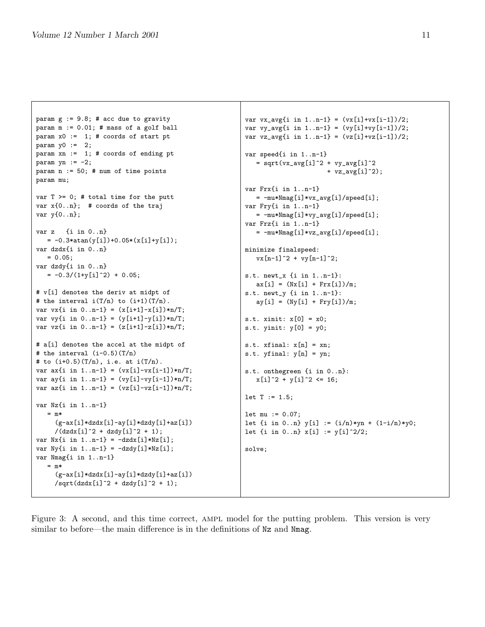```
param g := 9.8; # acc due to gravity
param m := 0.01; # mass of a golf ball
param x0 := 1; # coords of start pt
param y0 := 2;param xn := 1; # coords of ending pt
param yn := -2;
param n := 50; # num of time points
param mu;
var T >= 0; # total time for the putt
var x{0..n}; # coords of the traj
var y{0..n};
var z {i in 0..n}
  = -0.3*atan(y[i])+0.05*(x[i]+y[i]);
var dzdx{i in 0..n}
  = 0.05;
var dzdy{i in 0..n}
  = -0.3/(1+y[i]^{2}) + 0.05;# v[i] denotes the deriv at midpt of
# the interval i(T/n) to (i+1)(T/n).
var vx{i in 0 \ldots n-1} = (x[i+1]-x[i]) * n/T;
var vy\{ i \text{ in } 0..n-1 \} = (y[i+1]-y[i]) * n/T;var vz\{i \text{ in } 0..n-1\} = (z[i+1]-z[i]) * n/T;# a[i] denotes the accel at the midpt of
# the interval (i-0.5)(T/n)
# to (i+0.5)(T/n), i.e. at i(T/n).
var ax{i in 1..n-1} = (vx[i]-vx[i-1]) * n/T;var ay\{i \text{ in } 1..n-1\} = (vy[i]-vy[i-1]) * n/T;var az{i in 1..n-1} = (vz[i]-vz[i-1]) *n/T;var Nz{i in 1..n-1}
   = m*
     (g-ax[i]*dzdx[i]-ay[i]*dzdy[i]+az[i])/(dzdx[i]<sup>2</sup> + dzdy[i]<sup>2</sup> + 1);
var Nx{i} in 1..n-1} = -dzdx[i]*Nz[i];var Ny\{ i \text{ in } 1..n-1 \} = -d z dy [i] * N z [i];var Nmag{i in 1..n-1}
   = m*(g-ax[i]*dzdx[i]-ay[i]*dzdy[i]+az[i])\sqrt{\sqrt{2}} /sqrt(dzdx[i]^2 + dzdy[i]^2 + 1);
                                                             var vx_avg{i in 1..n-1} = (vx[i]+vx[i-1])/2;
```
var vy\_avg{i in  $1..n-1} = (vy[i]+vy[i-1])/2;$ var  $vz_avg{i in 1..n-1} = (vz[i]+vz[i-1])/2;$ var speed{i in 1..n-1}  $=$  sqrt(vx\_avg[i]^2 + vy\_avg[i]^2 +  $vz_avg[i]$  ^2); var Frx{i in 1..n-1} = -mu\*Nmag[i]\*vx\_avg[i]/speed[i]; var Fry{i in 1..n-1} = -mu\*Nmag[i]\*vy\_avg[i]/speed[i]; var Frz{i in 1..n-1} = -mu\*Nmag[i]\*vz\_avg[i]/speed[i]; minimize finalspeed:  $vx[n-1]^2 + vy[n-1]^2;$ s.t. newt\_x {i in 1..n-1}:  $ax[i] = (Nx[i] + Frx[i])/m;$ s.t. newt\_y {i in 1..n-1}:  $ay[i] = (Ny[i] + Fry[i])/m;$ s.t.  $xinit: x[0] = x0;$ s.t. yinit:  $y[0] = y0$ ; s.t.  $xfinal: x[n] = xn;$ s.t.  $yfinal: y[n] = yn;$ s.t. onthegreen {i in 0..n}:  $x[i]$   $2 + y[i]$   $2 \leq 16$ ;  $let T := 1.5;$ let mu := 0.07; let {i in 0..n}  $y[i] := (i/n) * yn + (1-i/n) * y0;$ let  $\{i \text{ in } 0..n\}$   $x[i] := y[i]^2/2;$ solve;

<span id="page-10-0"></span>Figure 3: A second, and this time correct, AMPL model for the putting problem. This version is very similar to before—the main difference is in the definitions of Nz and Nmag.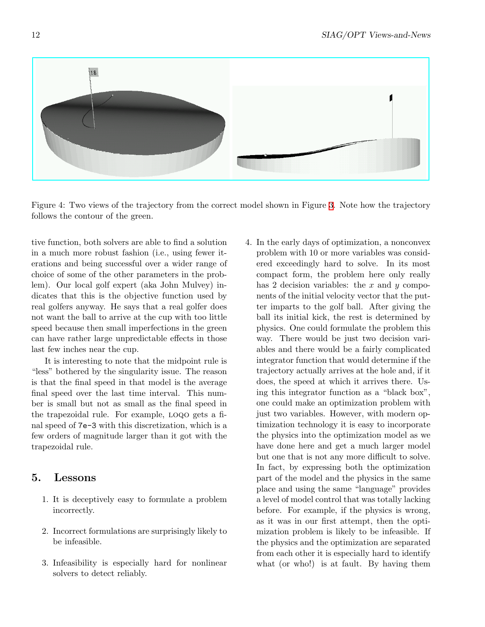

Figure 4: Two views of the trajectory from the correct model shown in Figure [3.](#page-10-0) Note how the trajectory follows the contour of the green.

<span id="page-11-0"></span>tive function, both solvers are able to find a solution in a much more robust fashion (i.e., using fewer iterations and being successful over a wider range of choice of some of the other parameters in the problem). Our local golf expert (aka John Mulvey) indicates that this is the objective function used by real golfers anyway. He says that a real golfer does not want the ball to arrive at the cup with too little speed because then small imperfections in the green can have rather large unpredictable effects in those last few inches near the cup.

It is interesting to note that the midpoint rule is "less" bothered by the singularity issue. The reason is that the final speed in that model is the average final speed over the last time interval. This number is small but not as small as the final speed in the trapezoidal rule. For example, loqo gets a final speed of 7e-3 with this discretization, which is a few orders of magnitude larger than it got with the trapezoidal rule.

## 5. Lessons

- 1. It is deceptively easy to formulate a problem incorrectly.
- 2. Incorrect formulations are surprisingly likely to be infeasible.
- 3. Infeasibility is especially hard for nonlinear solvers to detect reliably.
- 4. In the early days of optimization, a nonconvex problem with 10 or more variables was considered exceedingly hard to solve. In its most compact form, the problem here only really has 2 decision variables: the x and y components of the initial velocity vector that the putter imparts to the golf ball. After giving the ball its initial kick, the rest is determined by physics. One could formulate the problem this way. There would be just two decision variables and there would be a fairly complicated integrator function that would determine if the trajectory actually arrives at the hole and, if it does, the speed at which it arrives there. Using this integrator function as a "black box", one could make an optimization problem with just two variables. However, with modern optimization technology it is easy to incorporate the physics into the optimization model as we have done here and get a much larger model but one that is not any more difficult to solve. In fact, by expressing both the optimization part of the model and the physics in the same place and using the same "language" provides a level of model control that was totally lacking before. For example, if the physics is wrong, as it was in our first attempt, then the optimization problem is likely to be infeasible. If the physics and the optimization are separated from each other it is especially hard to identify what (or who!) is at fault. By having them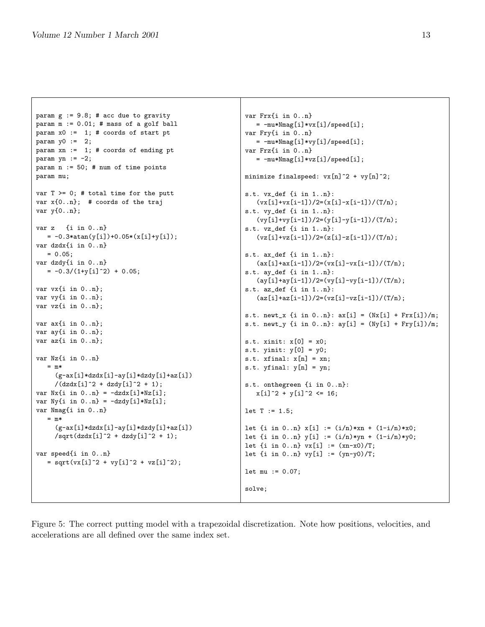```
param g := 9.8; # acc due to gravity
param m := 0.01; # mass of a golf ball
param x0 := 1; # coords of start pt
param y0 := 2;param xn := 1; # coords of ending pt
param yn := -2;
param n := 50; # num of time points
param mu;
var T >= 0; # total time for the putt
var x{0..n}; # coords of the traj
var y{0..n};
var z {i in 0..n}
  = -0.3*atan(y[i])+0.05*(x[i]+y[i]);var dzdx{i in 0..n}
  = 0.05;
var dzdy{i in 0..n}
   = -0.3/(1+y[i]^{2}) + 0.05;var vx{i in 0..n};
var vy{i in 0..n};
var vz{i in 0..n};
var ax{i in 0..n};
var ay{i in 0..n};
var az{i in 0..n};
var Nz{i in 0..n}
   = m*(g-ax[i]*dzdx[i]-ay[i]*dzdy[i]+az[i])/(dzdx[i]<sup>2 +</sup> dzdy[i]<sup>2 + 1</sup>;
var Nx{i} in 0..n} = -dzdx[i]*Nz[i];
var Ny{i} in 0..n} = -dzdy[i]*Nz[i];var Nmag{i in 0..n}
   = m*(g-ax[i]*dzdx[i]-ay[i]*dzdy[i]+az[i])\sqrt{\sqrt{2}} /sqrt\frac{dz}{dz}[i]^2 + \frac{dz}{dy}[i]^2 + 1;
var speed{i in 0..n}
   = sqrt(vx[i]^2 + vy[i]^2 + vz[i]^2);var Frx{i in 0..n}
                                                            = -mu*Nmag[i]*vx[i]/speed[i];
                                                           var Fry{i in 0..n}
                                                              = -mu*Nmag[i]*vy[i]/speed[i];
                                                           var Frz{i in 0..n}
                                                              = -mu*Nmag[i]*vz[i]/speed[i];
                                                           let T := 1.5;solve;
```
minimize finalspeed:  $vx[n]^2 + vy[n]^2$ ; s.t. vx\_def {i in 1..n}:  $(vx[i]+vx[i-1])/2=(x[i]-x[i-1])/(T/n);$ s.t. vy\_def {i in 1..n}:  $(yy[i]+vy[i-1])/2=(y[i]-y[i-1])/(T/n);$ s.t. vz\_def {i in 1..n}:  $(vz[i]+vz[i-1])/2=(z[i]-z[i-1])/(T/n);$ s.t. ax\_def {i in 1..n}:  $(ax[i]+ax[i-1])/2=(vx[i]-vx[i-1])/(T/n);$ s.t. ay\_def {i in 1..n}:  $\frac{1}{\sqrt{2}}\left[\frac{i-1}{2}\right]/2 = \frac{1}{\sqrt{2}}\left[\frac{i-1}{2}\right]/(T/n);$ s.t. az\_def {i in 1..n}:  $(az[i]+az[i-1])/2=(vz[i]-vz[i-1])/(T/n);$ s.t. newt\_x {i in  $0..n$ }:  $ax[i] = (Nx[i] + Frx[i])/m;$ s.t. newt\_y {i in  $0..n$ }:  $ay[i] = (Ny[i] + Fry[i])/m;$ s.t. xinit: x[0] = x0; s.t. yinit:  $y[0] = y0$ ; s.t.  $xfinal: x[n] = xn;$ s.t.  $yfinal: y[n] = yn;$ s.t. onthegreen {i in 0..n}:  $x[i]$   $2 + y[i]$   $2 \leq 16$ ; let  $\{i \in [0..n] \times [i] : = (i/n) * \times n + (1-i/n) * \times 0;$ let  $\{i \text{ in } 0..n\}$   $y[i] := (i/n)*yn + (1-i/n)*y0;$ let  $\{i \text{ in } 0..n\}$  vx $[i] := (xn-x0)/T;$ let  $\{i \text{ in } 0..n\}$  vy $[i] := (yn-y0)/T;$ let mu := 0.07;

<span id="page-12-0"></span>Figure 5: The correct putting model with a trapezoidal discretization. Note how positions, velocities, and accelerations are all defined over the same index set.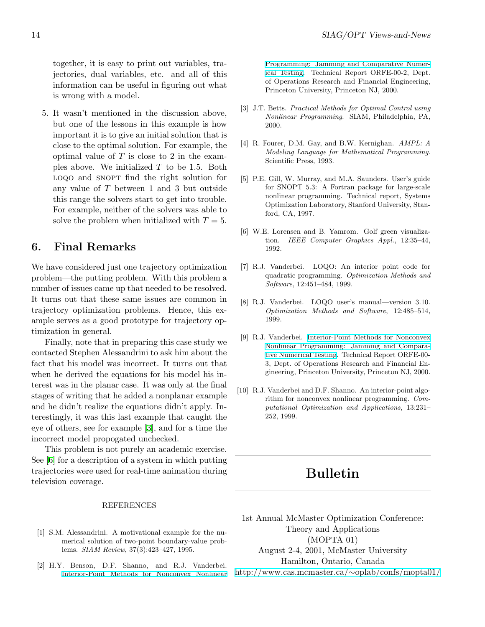together, it is easy to print out variables, trajectories, dual variables, etc. and all of this information can be useful in figuring out what is wrong with a model.

5. It wasn't mentioned in the discussion above, but one of the lessons in this example is how important it is to give an initial solution that is close to the optimal solution. For example, the optimal value of  $T$  is close to 2 in the examples above. We initialized  $T$  to be 1.5. Both loqo and snopt find the right solution for any value of T between 1 and 3 but outside this range the solvers start to get into trouble. For example, neither of the solvers was able to solve the problem when initialized with  $T = 5$ .

#### 6. Final Remarks

We have considered just one trajectory optimization problem—the putting problem. With this problem a number of issues came up that needed to be resolved. It turns out that these same issues are common in trajectory optimization problems. Hence, this example serves as a good prototype for trajectory optimization in general.

Finally, note that in preparing this case study we contacted Stephen Alessandrini to ask him about the fact that his model was incorrect. It turns out that when he derived the equations for his model his interest was in the planar case. It was only at the final stages of writing that he added a nonplanar example and he didn't realize the equations didn't apply. Interestingly, it was this last example that caught the eye of others, see for example[[3\]](#page-13-8), and for a time the incorrect model propogated unchecked.

This problem is not purely an academic exercise. See [\[6\]](#page-13-9) for a description of a system in which putting trajectories were used for real-time animation during television coverage.

#### REFERENCES

- <span id="page-13-7"></span>[1] S.M. Alessandrini. A motivational example for the numerical solution of two-point boundary-value problems. SIAM Review, 37(3):423–427, 1995.
- <span id="page-13-5"></span>[2] H.Y. Benson, D.F. Shanno, and R.J. Vanderbei. [Interior-Point Methods for Nonconvex Nonlinear](http://www.sor.princeton.edu/~rvdb/ps/loqo3_3.pdf)

[Programming: Jamming and Comparative Numer](http://www.sor.princeton.edu/~rvdb/ps/loqo3_3.pdf)[ical Testing.](http://www.sor.princeton.edu/~rvdb/ps/loqo3_3.pdf) Technical Report ORFE-00-2, Dept. of Operations Research and Financial Engineering, Princeton University, Princeton NJ, 2000.

- <span id="page-13-8"></span>[3] J.T. Betts. Practical Methods for Optimal Control using Nonlinear Programming. SIAM, Philadelphia, PA, 2000.
- <span id="page-13-1"></span>[4] R. Fourer, D.M. Gay, and B.W. Kernighan. AMPL: A Modeling Language for Mathematical Programming. Scientific Press, 1993.
- <span id="page-13-6"></span>[5] P.E. Gill, W. Murray, and M.A. Saunders. User's guide for SNOPT 5.3: A Fortran package for large-scale nonlinear programming. Technical report, Systems Optimization Laboratory, Stanford University, Stanford, CA, 1997.
- <span id="page-13-9"></span>[6] W.E. Lorensen and B. Yamrom. Golf green visualization. IEEE Computer Graphics Appl., 12:35–44, 1992.
- <span id="page-13-2"></span>[7] R.J. Vanderbei. LOQO: An interior point code for quadratic programming. Optimization Methods and Software, 12:451–484, 1999.
- <span id="page-13-3"></span>[8] R.J. Vanderbei. LOQO user's manual—version 3.10. Optimization Methods and Software, 12:485–514, 1999.
- <span id="page-13-0"></span>[9] R.J. Vanderbei. [Interior-Point Methods for Nonconvex](http://www.princeton.edu/~rvdb/tex/trajopt/trajopt.pdf) [Nonlinear Programming: Jamming and Compara](http://www.princeton.edu/~rvdb/tex/trajopt/trajopt.pdf)[tive Numerical Testing](http://www.princeton.edu/~rvdb/tex/trajopt/trajopt.pdf). Technical Report ORFE-00- 3, Dept. of Operations Research and Financial Engineering, Princeton University, Princeton NJ, 2000.
- <span id="page-13-4"></span>[10] R.J. Vanderbei and D.F. Shanno. An interior-point algorithm for nonconvex nonlinear programming. Computational Optimization and Applications, 13:231– 252, 1999.

# Bulletin

1st Annual McMaster Optimization Conference: Theory and Applications (MOPTA 01) August 2-4, 2001, McMaster University Hamilton, Ontario, Canada [http://www.cas.mcmaster.ca/](http://www.cas.mcmaster.ca/~oplab/confs/mopta01/)∼oplab/confs/mopta01/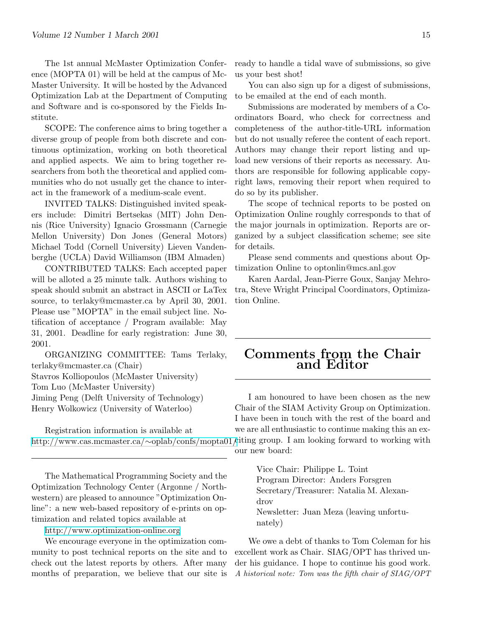The 1st annual McMaster Optimization Conference (MOPTA 01) will be held at the campus of Mc-Master University. It will be hosted by the Advanced Optimization Lab at the Department of Computing and Software and is co-sponsored by the Fields Institute.

SCOPE: The conference aims to bring together a diverse group of people from both discrete and continuous optimization, working on both theoretical and applied aspects. We aim to bring together researchers from both the theoretical and applied communities who do not usually get the chance to interact in the framework of a medium-scale event.

INVITED TALKS: Distinguished invited speakers include: Dimitri Bertsekas (MIT) John Dennis (Rice University) Ignacio Grossmann (Carnegie Mellon University) Don Jones (General Motors) Michael Todd (Cornell University) Lieven Vandenberghe (UCLA) David Williamson (IBM Almaden)

CONTRIBUTED TALKS: Each accepted paper will be alloted a 25 minute talk. Authors wishing to speak should submit an abstract in ASCII or LaTex source, to terlaky@mcmaster.ca by April 30, 2001. Please use "MOPTA" in the email subject line. Notification of acceptance / Program available: May 31, 2001. Deadline for early registration: June 30, 2001.

ORGANIZING COMMITTEE: Tams Terlaky, terlaky@mcmaster.ca (Chair) Stavros Kolliopoulos (McMaster University) Tom Luo (McMaster University) Jiming Peng (Delft University of Technology) Henry Wolkowicz (University of Waterloo)

Registration information is available at [http://www.cas.mcmaster.ca/](http://www.cas.mcmaster.ca/~oplab/confs/mopta01/)∼oplab/confs/mopta01/citing group. I am looking forward to working with

The Mathematical Programming Society and the Optimization Technology Center (Argonne / Northwestern) are pleased to announce "Optimization Online": a new web-based repository of e-prints on optimization and related topics available at

<http://www.optimization-online.org>

We encourage everyone in the optimization community to post technical reports on the site and to check out the latest reports by others. After many months of preparation, we believe that our site is

ready to handle a tidal wave of submissions, so give us your best shot!

You can also sign up for a digest of submissions, to be emailed at the end of each month.

Submissions are moderated by members of a Coordinators Board, who check for correctness and completeness of the author-title-URL information but do not usually referee the content of each report. Authors may change their report listing and upload new versions of their reports as necessary. Authors are responsible for following applicable copyright laws, removing their report when required to do so by its publisher.

The scope of technical reports to be posted on Optimization Online roughly corresponds to that of the major journals in optimization. Reports are organized by a subject classification scheme; see site for details.

Please send comments and questions about Optimization Online to optonlin@mcs.anl.gov

Karen Aardal, Jean-Pierre Goux, Sanjay Mehrotra, Steve Wright Principal Coordinators, Optimization Online.

# Comments from the Chair and Editor

I am honoured to have been chosen as the new Chair of the SIAM Activity Group on Optimization. I have been in touch with the rest of the board and we are all enthusiastic to continue making this an ex-

our new board:

Vice Chair: Philippe L. Toint Program Director: Anders Forsgren Secretary/Treasurer: Natalia M. Alexandrov Newsletter: Juan Meza (leaving unfortunately)

We owe a debt of thanks to Tom Coleman for his excellent work as Chair. SIAG/OPT has thrived under his guidance. I hope to continue his good work. A historical note: Tom was the fifth chair of SIAG/OPT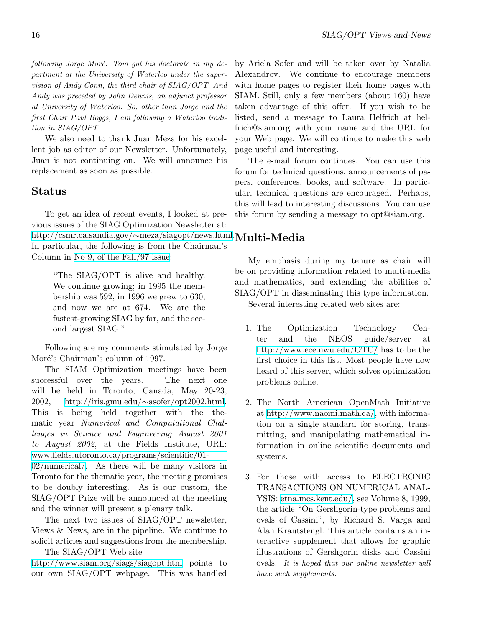$following\; Jorge\; Moré.$  Tom got his doctorate in my department at the University of Waterloo under the supervision of Andy Conn, the third chair of SIAG/OPT. And Andy was preceded by John Dennis, an adjunct professor at University of Waterloo. So, other than Jorge and the first Chair Paul Boggs, I am following a Waterloo tradition in SIAG/OPT.

We also need to thank Juan Meza for his excellent job as editor of our Newsletter. Unfortunately, Juan is not continuing on. We will announce his replacement as soon as possible.

### Status

To get an idea of recent events, I looked at previous issues of the SIAG Optimization Newsletter at: [http://csmr.ca.sandia.gov/](http://csmr.ca.sandia.gov/~meza/siagopt/news.html)∼meza/siagopt/news.html. Multi-Media In particular, the following is from the Chairman's Column in [No 9, of the Fall/97 issue](http://csmr.ca.sandia.gov/~meza/siagopt/archive/vn9.pdf):

"The SIAG/OPT is alive and healthy. We continue growing; in 1995 the membership was 592, in 1996 we grew to 630, and now we are at 674. We are the fastest-growing SIAG by far, and the second largest SIAG."

Following are my comments stimulated by Jorge Moré's Chairman's column of 1997.

The SIAM Optimization meetings have been successful over the years. The next one will be held in Toronto, Canada, May 20-23, 2002, [http://iris.gmu.edu/](http://iris.gmu.edu/~asofer/opt2002.html)∼asofer/opt2002.html. This is being held together with the thematic year Numerical and Computational Challenges in Science and Engineering August 2001 to August 2002, at the Fields Institute, URL: [www.fields.utoronto.ca/programs/scientific/01-](http://www.fields.utoronto.ca/programs/scientific/01-02/numerical/)

[02/numerical/.](http://www.fields.utoronto.ca/programs/scientific/01-02/numerical/) As there will be many visitors in Toronto for the thematic year, the meeting promises to be doubly interesting. As is our custom, the SIAG/OPT Prize will be announced at the meeting and the winner will present a plenary talk.

The next two issues of SIAG/OPT newsletter, Views & News, are in the pipeline. We continue to solicit articles and suggestions from the membership. The SIAG/OPT Web site

<http://www.siam.org/siags/siagopt.htm> points to our own SIAG/OPT webpage. This was handled

by Ariela Sofer and will be taken over by Natalia Alexandrov. We continue to encourage members with home pages to register their home pages with SIAM. Still, only a few members (about 160) have taken advantage of this offer. If you wish to be listed, send a message to Laura Helfrich at helfrich@siam.org with your name and the URL for your Web page. We will continue to make this web page useful and interesting.

The e-mail forum continues. You can use this forum for technical questions, announcements of papers, conferences, books, and software. In particular, technical questions are encouraged. Perhaps, this will lead to interesting discussions. You can use this forum by sending a message to opt@siam.org.

My emphasis during my tenure as chair will be on providing information related to multi-media and mathematics, and extending the abilities of SIAG/OPT in disseminating this type information.

Several interesting related web sites are:

- 1. The Optimization Technology Center and the NEOS guide/server at <http://www.ece.nwu.edu/OTC/> has to be the first choice in this list. Most people have now heard of this server, which solves optimization problems online.
- 2. The North American OpenMath Initiative at<http://www.naomi.math.ca/>, with information on a single standard for storing, transmitting, and manipulating mathematical information in online scientific documents and systems.
- 3. For those with access to ELECTRONIC TRANSACTIONS ON NUMERICAL ANAL-YSIS: [etna.mcs.kent.edu/,](http://etna.mcs.kent.edu/) see Volume 8, 1999, the article "On Gershgorin-type problems and ovals of Cassini", by Richard S. Varga and Alan Krautstengl. This article contains an interactive supplement that allows for graphic illustrations of Gershgorin disks and Cassini ovals. It is hoped that our online newsletter will have such supplements.